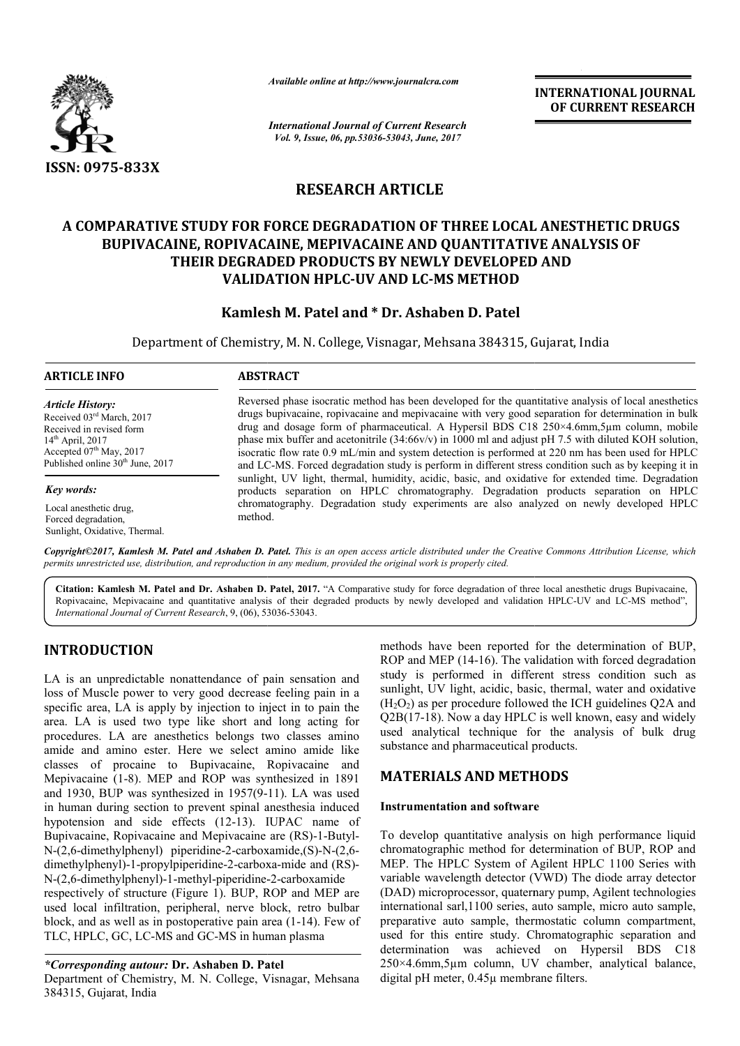

*Available online at http://www.journalcra.com*

# **RESEARCH ARTICLE**

#### **A COMPARATIVE STUDY FOR FORCE DEGRADATION OF THREE LOCAL ANESTHETIC DRUGS BUPIVACAINE, ROPIVACAINE, MEPIVACAINE AND QUANTITATIVE ANALYSIS OF THEIR DEGRADED PRODUCTS BY NEWLY DEVELOPED AND VALIDATION HPLC HPLC-UV AND LC-MS METHOD** DEGRADATION OF THREE LOCAL ANES<br>MEPIVACAINE AND QUANTITATIVE AN*L*<br>RODUCTS BY NEWLY DEVELOPED AND

# **Kamlesh M. Patel and \* Dr. Ashaben D. Patel**

|                                                                                                                                                                                                                                                                                                                                                                                                                                                                                                                                                                                                                                                                                         | лтините опине игнир.//www.journatera.com                                                                                                                                                                                                                                                                                                                                                                                                                                                                                                                                                                                                                                                                                             |                                                                                           |                                                                                                                                                                                                                                                                                                                                                                                                                                                                                                                                                                                                                          |  |  |
|-----------------------------------------------------------------------------------------------------------------------------------------------------------------------------------------------------------------------------------------------------------------------------------------------------------------------------------------------------------------------------------------------------------------------------------------------------------------------------------------------------------------------------------------------------------------------------------------------------------------------------------------------------------------------------------------|--------------------------------------------------------------------------------------------------------------------------------------------------------------------------------------------------------------------------------------------------------------------------------------------------------------------------------------------------------------------------------------------------------------------------------------------------------------------------------------------------------------------------------------------------------------------------------------------------------------------------------------------------------------------------------------------------------------------------------------|-------------------------------------------------------------------------------------------|--------------------------------------------------------------------------------------------------------------------------------------------------------------------------------------------------------------------------------------------------------------------------------------------------------------------------------------------------------------------------------------------------------------------------------------------------------------------------------------------------------------------------------------------------------------------------------------------------------------------------|--|--|
|                                                                                                                                                                                                                                                                                                                                                                                                                                                                                                                                                                                                                                                                                         | <b>International Journal of Current Research</b><br>Vol. 9, Issue, 06, pp.53036-53043, June, 2017                                                                                                                                                                                                                                                                                                                                                                                                                                                                                                                                                                                                                                    |                                                                                           |                                                                                                                                                                                                                                                                                                                                                                                                                                                                                                                                                                                                                          |  |  |
| <b>ISSN: 0975-833X</b>                                                                                                                                                                                                                                                                                                                                                                                                                                                                                                                                                                                                                                                                  |                                                                                                                                                                                                                                                                                                                                                                                                                                                                                                                                                                                                                                                                                                                                      |                                                                                           |                                                                                                                                                                                                                                                                                                                                                                                                                                                                                                                                                                                                                          |  |  |
|                                                                                                                                                                                                                                                                                                                                                                                                                                                                                                                                                                                                                                                                                         |                                                                                                                                                                                                                                                                                                                                                                                                                                                                                                                                                                                                                                                                                                                                      | <b>RESEARCH ARTICLE</b>                                                                   |                                                                                                                                                                                                                                                                                                                                                                                                                                                                                                                                                                                                                          |  |  |
|                                                                                                                                                                                                                                                                                                                                                                                                                                                                                                                                                                                                                                                                                         | A COMPARATIVE STUDY FOR FORCE DEGRADATION OF THREE LOCAL ANESTHETIC DRUGS<br>BUPIVACAINE, ROPIVACAINE, MEPIVACAINE AND QUANTITATIVE ANALYSIS OF<br>THEIR DEGRADED PRODUCTS BY NEWLY DEVELOPED AND                                                                                                                                                                                                                                                                                                                                                                                                                                                                                                                                    | <b>VALIDATION HPLC-UV AND LC-MS METHOD</b><br>Kamlesh M. Patel and * Dr. Ashaben D. Patel |                                                                                                                                                                                                                                                                                                                                                                                                                                                                                                                                                                                                                          |  |  |
|                                                                                                                                                                                                                                                                                                                                                                                                                                                                                                                                                                                                                                                                                         | Department of Chemistry, M. N. College, Visnagar, Mehsana 384315, Gujarat, India                                                                                                                                                                                                                                                                                                                                                                                                                                                                                                                                                                                                                                                     |                                                                                           |                                                                                                                                                                                                                                                                                                                                                                                                                                                                                                                                                                                                                          |  |  |
| <b>ARTICLE INFO</b>                                                                                                                                                                                                                                                                                                                                                                                                                                                                                                                                                                                                                                                                     | <b>ABSTRACT</b>                                                                                                                                                                                                                                                                                                                                                                                                                                                                                                                                                                                                                                                                                                                      |                                                                                           |                                                                                                                                                                                                                                                                                                                                                                                                                                                                                                                                                                                                                          |  |  |
| <b>Article History:</b><br>Received 03rd March, 2017<br>Received in revised form<br>14 <sup>th</sup> April, 2017<br>Accepted 07 <sup>th</sup> May, 2017<br>Published online 30 <sup>th</sup> June, 2017                                                                                                                                                                                                                                                                                                                                                                                                                                                                                 | Reversed phase isocratic method has been developed for the quantitative analysis of local anesthetics<br>drugs bupivacaine, ropivacaine and mepivacaine with very good separation for determination in bulk<br>drug and dosage form of pharmaceutical. A Hypersil BDS C18 250×4.6mm,5µm column, mobile<br>phase mix buffer and acetonitrile $(34:66v/v)$ in 1000 ml and adjust pH 7.5 with diluted KOH solution,<br>isocratic flow rate 0.9 mL/min and system detection is performed at 220 nm has been used for HPLC<br>and LC-MS. Forced degradation study is perform in different stress condition such as by keeping it in<br>sunlight, UV light, thermal, humidity, acidic, basic, and oxidative for extended time. Degradation |                                                                                           |                                                                                                                                                                                                                                                                                                                                                                                                                                                                                                                                                                                                                          |  |  |
| Key words:                                                                                                                                                                                                                                                                                                                                                                                                                                                                                                                                                                                                                                                                              |                                                                                                                                                                                                                                                                                                                                                                                                                                                                                                                                                                                                                                                                                                                                      |                                                                                           | products separation on HPLC chromatography. Degradation products separation on HPLC                                                                                                                                                                                                                                                                                                                                                                                                                                                                                                                                      |  |  |
| Local anesthetic drug,<br>Forced degradation,<br>Sunlight, Oxidative, Thermal.                                                                                                                                                                                                                                                                                                                                                                                                                                                                                                                                                                                                          | chromatography. Degradation study experiments are also analyzed on newly developed HPLC<br>method.                                                                                                                                                                                                                                                                                                                                                                                                                                                                                                                                                                                                                                   |                                                                                           |                                                                                                                                                                                                                                                                                                                                                                                                                                                                                                                                                                                                                          |  |  |
|                                                                                                                                                                                                                                                                                                                                                                                                                                                                                                                                                                                                                                                                                         | permits unrestricted use, distribution, and reproduction in any medium, provided the original work is properly cited.                                                                                                                                                                                                                                                                                                                                                                                                                                                                                                                                                                                                                |                                                                                           | Copyright©2017, Kamlesh M. Patel and Ashaben D. Patel. This is an open access article distributed under the Creative Commons Attribution License, which                                                                                                                                                                                                                                                                                                                                                                                                                                                                  |  |  |
| International Journal of Current Research, 9, (06), 53036-53043.                                                                                                                                                                                                                                                                                                                                                                                                                                                                                                                                                                                                                        | Citation: Kamlesh M. Patel and Dr. Ashaben D. Patel, 2017. "A Comparative study for force degradation of three local anesthetic drugs Bupivacaine,<br>Ropivacaine, Mepivacaine and quantitative analysis of their degraded products by newly developed and validation HPLC-UV and LC-MS method",                                                                                                                                                                                                                                                                                                                                                                                                                                     |                                                                                           |                                                                                                                                                                                                                                                                                                                                                                                                                                                                                                                                                                                                                          |  |  |
| <b>INTRODUCTION</b>                                                                                                                                                                                                                                                                                                                                                                                                                                                                                                                                                                                                                                                                     |                                                                                                                                                                                                                                                                                                                                                                                                                                                                                                                                                                                                                                                                                                                                      |                                                                                           | methods have been reported for the determination of BUP,<br>ROP and MEP (14-16). The validation with forced degradation                                                                                                                                                                                                                                                                                                                                                                                                                                                                                                  |  |  |
| LA is an unpredictable nonattendance of pain sensation and<br>loss of Muscle power to very good decrease feeling pain in a<br>specific area, LA is apply by injection to inject in to pain the<br>area. LA is used two type like short and long acting for<br>procedures. LA are anesthetics belongs two classes amino<br>amide and amino ester. Here we select amino amide like<br>classes of procaine to Bupivacaine, Ropivacaine and                                                                                                                                                                                                                                                 |                                                                                                                                                                                                                                                                                                                                                                                                                                                                                                                                                                                                                                                                                                                                      | substance and pharmaceutical products.                                                    | study is performed in different stress condition such as<br>sunlight, UV light, acidic, basic, thermal, water and oxidative<br>$(H2O2)$ as per procedure followed the ICH guidelines Q2A and<br>Q2B(17-18). Now a day HPLC is well known, easy and widely<br>used analytical technique for the analysis of bulk drug                                                                                                                                                                                                                                                                                                     |  |  |
| Mepivacaine (1-8). MEP and ROP was synthesized in 1891<br>and 1930, BUP was synthesized in 1957(9-11). LA was used                                                                                                                                                                                                                                                                                                                                                                                                                                                                                                                                                                      |                                                                                                                                                                                                                                                                                                                                                                                                                                                                                                                                                                                                                                                                                                                                      | <b>MATERIALS AND METHODS</b>                                                              |                                                                                                                                                                                                                                                                                                                                                                                                                                                                                                                                                                                                                          |  |  |
| in human during section to prevent spinal anesthesia induced<br>hypotension and side effects (12-13). IUPAC name of<br>Bupivacaine, Ropivacaine and Mepivacaine are (RS)-1-Butyl-<br>N-(2,6-dimethylphenyl) piperidine-2-carboxamide, (S)-N-(2,6-<br>dimethylphenyl)-1-propylpiperidine-2-carboxa-mide and (RS)-<br>N-(2,6-dimethylphenyl)-1-methyl-piperidine-2-carboxamide<br>respectively of structure (Figure 1). BUP, ROP and MEP are<br>used local infiltration, peripheral, nerve block, retro bulbar<br>block, and as well as in postoperative pain area (1-14). Few of<br>TLC, HPLC, GC, LC-MS and GC-MS in human plasma<br><i>*Corresponding autour: Dr. Ashaben D. Patel</i> |                                                                                                                                                                                                                                                                                                                                                                                                                                                                                                                                                                                                                                                                                                                                      | <b>Instrumentation and software</b>                                                       | To develop quantitative analysis on high performance liquid<br>chromatographic method for determination of BUP, ROP and<br>MEP. The HPLC System of Agilent HPLC 1100 Series with<br>variable wavelength detector (VWD) The diode array detector<br>(DAD) microprocessor, quaternary pump, Agilent technologies<br>international sarl, 1100 series, auto sample, micro auto sample,<br>preparative auto sample, thermostatic column compartment,<br>used for this entire study. Chromatographic separation and<br>determination was achieved on Hypersil BDS C18<br>250×4.6mm,5µm column, UV chamber, analytical balance, |  |  |
| Department of Chemistry, M. N. College, Visnagar, Mehsana                                                                                                                                                                                                                                                                                                                                                                                                                                                                                                                                                                                                                               |                                                                                                                                                                                                                                                                                                                                                                                                                                                                                                                                                                                                                                                                                                                                      | digital pH meter, 0.45µ membrane filters.                                                 |                                                                                                                                                                                                                                                                                                                                                                                                                                                                                                                                                                                                                          |  |  |

# **INTRODUCTION**

## *\*Corresponding autour:* **Dr. Ashaben D. Patel**

Department of Chemistry, M. N. College, Visnagar, Mehsana 384315, Gujarat, India

# **MATERIALS AND METHODS METHODS**

### **Instrumentation and software Instrumentation and**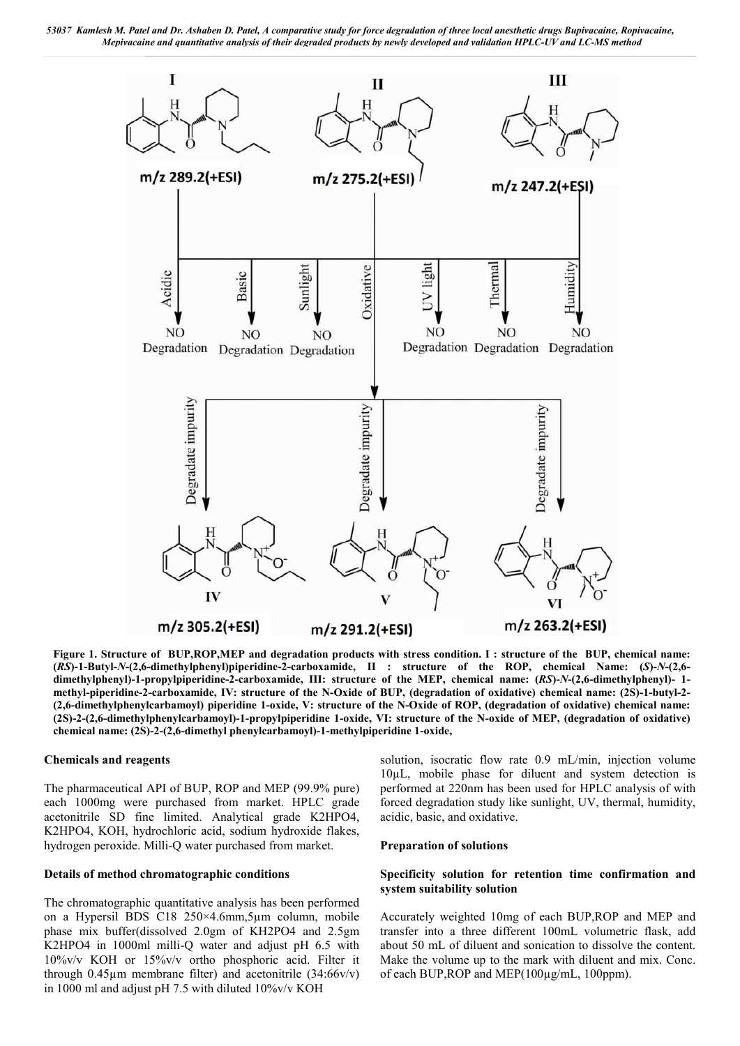

**Figure 1. Structure of BUP,ROP,MEP and degradation products with stress condition. I : structure of the BUP, chemical name: (***RS***)-1-Butyl-***N***-(2,6-dimethylphenyl)piperidine-2-carboxamide, II : structure of the ROP, chemical Name: (***S***)-***N***-(2,6 dimethylphenyl)-1-propylpiperidine-2-carboxamide, III: structure of the MEP, chemical name: (***RS***)-***N***-(2,6-dimethylphenyl)- 1 methyl-piperidine-2-carboxamide, IV: structure of the N-Oxide of BUP, (degradation of oxidative) chemical name: (2S)-1-butyl-2- (2,6-dimethylphenylcarbamoyl) piperidine 1-oxide, V: structure of the N-Oxide of ROP, (degradation of oxidative) chemical name: (2S)-2-(2,6-dimethylphenylcarbamoyl)-1-propylpiperidine 1-oxide, VI: structure of the N-oxide of MEP, (degradation of oxidative) chemical name: (2S)-2-(2,6-dimethyl phenylcarbamoyl)-1-methylpiperidine 1-oxide,**

#### **Chemicals and reagents**

The pharmaceutical API of BUP, ROP and MEP (99.9% pure) each 1000mg were purchased from market. HPLC grade acetonitrile SD fine limited. Analytical grade K2HPO4, K2HPO4, KOH, hydrochloric acid, sodium hydroxide flakes, hydrogen peroxide. Milli-Q water purchased from market.

#### **Details of method chromatographic conditions**

The chromatographic quantitative analysis has been performed on a Hypersil BDS C18 250×4.6mm,5µm column, mobile phase mix buffer(dissolved 2.0gm of KH2PO4 and 2.5gm K2HPO4 in 1000ml milli-Q water and adjust pH 6.5 with 10%v/v KOH or 15%v/v ortho phosphoric acid. Filter it through  $0.45\mu$ m membrane filter) and acetonitrile  $(34:66v/v)$ in 1000 ml and adjust pH 7.5 with diluted 10%v/v KOH

solution, isocratic flow rate 0.9 mL/min, injection volume 10µL, mobile phase for diluent and system detection is performed at 220nm has been used for HPLC analysis of with forced degradation study like sunlight, UV, thermal, humidity, acidic, basic, and oxidative.

#### **Preparation of solutions**

#### **Specificity solution for retention time confirmation and system suitability solution**

Accurately weighted 10mg of each BUP,ROP and MEP and transfer into a three different 100mL volumetric flask, add about 50 mL of diluent and sonication to dissolve the content. Make the volume up to the mark with diluent and mix. Conc. of each BUP,ROP and MEP(100µg/mL, 100ppm).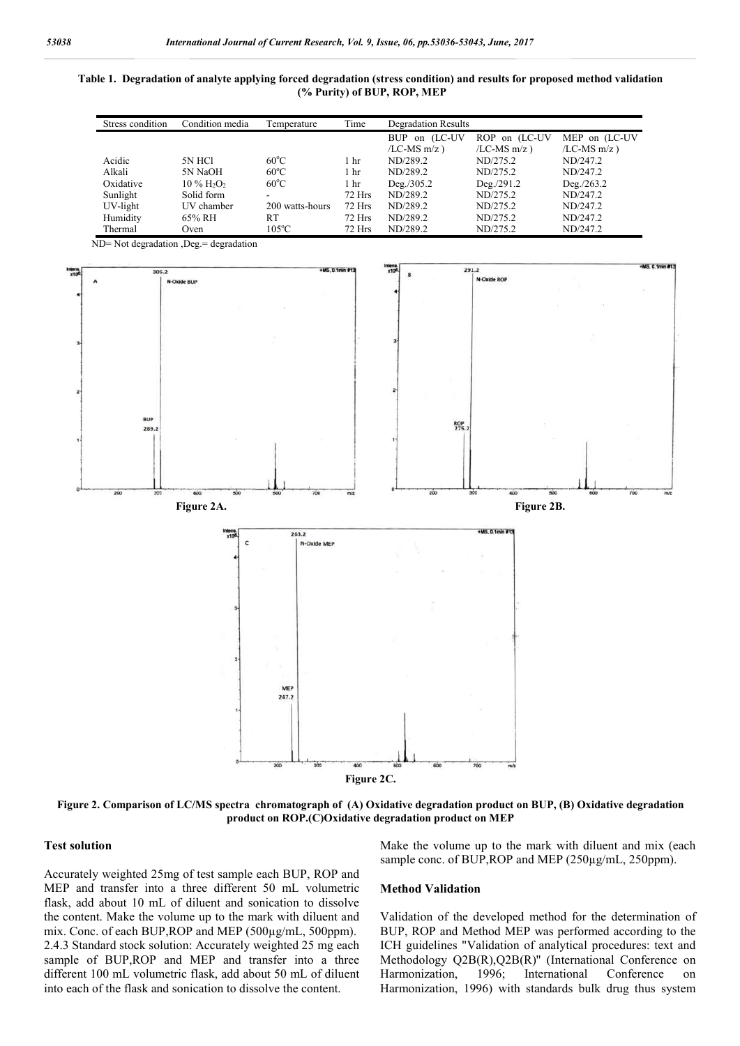**Table 1. Degradation of analyte applying forced degradation (stress condition) and results for proposed method validation (% Purity) of BUP, ROP, MEP**

| Stress condition | Condition media                      | Temperature     | Time            | <b>Degradation Results</b> |                    |                    |
|------------------|--------------------------------------|-----------------|-----------------|----------------------------|--------------------|--------------------|
|                  |                                      |                 |                 | <b>BUP</b><br>on (LC-UV    | ROP on (LC-UV      | MEP on (LC-UV      |
|                  |                                      |                 |                 | $/LC$ -MS m $/z$ )         | $/LC$ -MS m $/z$ ) | $/LC$ -MS m $/z$ ) |
| Acidic           | 5N HCl                               | $60^{\circ}$ C  | . hr            | ND/289.2                   | ND/275.2           | ND/247.2           |
| Alkali           | 5N NaOH                              | $60^{\circ}$ C  | 1 <sub>hr</sub> | ND/289.2                   | ND/275.2           | ND/247.2           |
| Oxidative        | $10\%$ H <sub>2</sub> O <sub>2</sub> | $60^{\circ}$ C  | 1 hr            | $Deg$ ./305.2              | Deg/291.2          | Deg. / 263.2       |
| Sunlight         | Solid form                           |                 | 72 Hrs          | ND/289.2                   | ND/275.2           | ND/247.2           |
| UV-light         | UV chamber                           | 200 watts-hours | 72 Hrs          | ND/289.2                   | ND/275.2           | ND/247.2           |
| Humidity         | 65% RH                               | RT              | 72 Hrs          | ND/289.2                   | ND/275.2           | ND/247.2           |
| Thermal          | Oven                                 | $105^{\circ}$ C | 72 Hrs          | ND/289.2                   | ND/275.2           | ND/247.2           |



**Figure 2. Comparison of LC/MS spectra chromatograph of (A) Oxidative degradation product on BUP, (B) Oxidative degradation product on ROP.(C)Oxidative degradation product on MEP**

#### **Test solution**

Accurately weighted 25mg of test sample each BUP, ROP and MEP and transfer into a three different 50 mL volumetric flask, add about 10 mL of diluent and sonication to dissolve the content. Make the volume up to the mark with diluent and mix. Conc. of each BUP, ROP and MEP (500µg/mL, 500ppm). 2.4.3 Standard stock solution: Accurately weighted 25 mg each sample of BUP, ROP and MEP and transfer into a three different 100 mL volumetric flask, add about 50 mL of diluent into each of the flask and sonication to dissolve the content.

Make the volume up to the mark with diluent and mix (each sample conc. of BUP, ROP and MEP (250µg/mL, 250ppm).

#### **Method Validation**

Validation of the developed method for the determination of BUP, ROP and Method MEP was performed according to the ICH guidelines "Validation of analytical procedures: text and Methodology Q2B(R),Q2B(R)'' (International Conference on Harmonization, 1996; International Conference on Harmonization, 1996) with standards bulk drug thus system

ND= Not degradation ,Deg.= degradation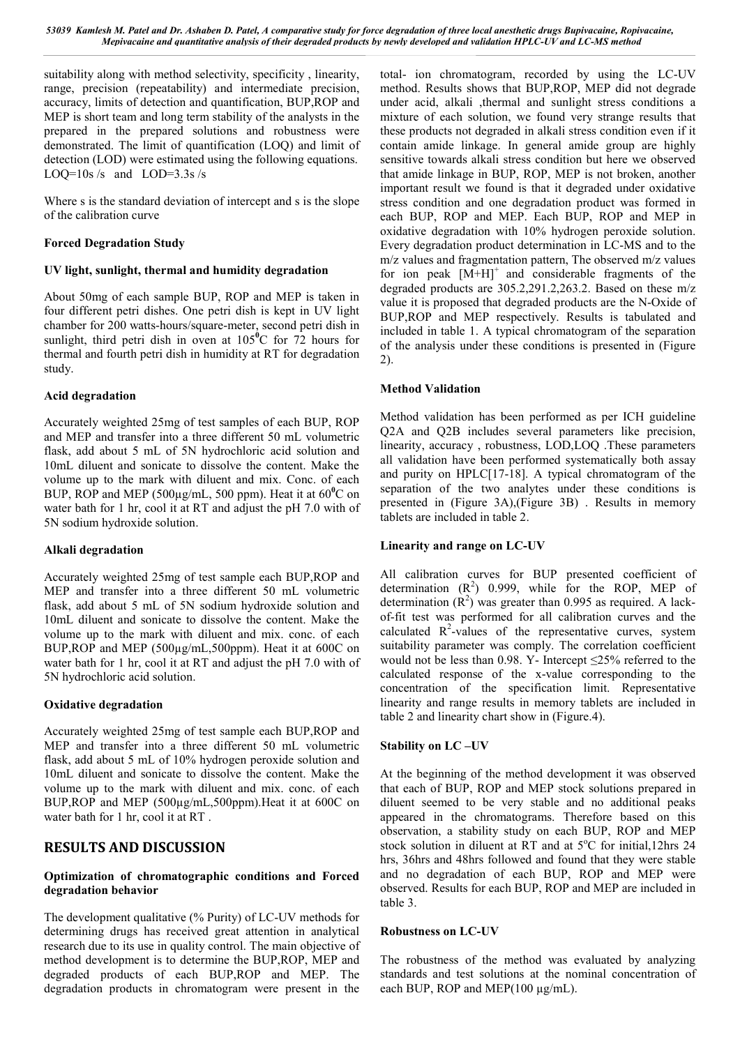suitability along with method selectivity, specificity , linearity, range, precision (repeatability) and intermediate precision, accuracy, limits of detection and quantification, BUP,ROP and MEP is short team and long term stability of the analysts in the prepared in the prepared solutions and robustness were demonstrated. The limit of quantification (LOQ) and limit of detection (LOD) were estimated using the following equations. LOO=10s /s and LOD=3.3s /s

Where s is the standard deviation of intercept and s is the slope of the calibration curve

#### **Forced Degradation Study**

#### **UV light, sunlight, thermal and humidity degradation**

About 50mg of each sample BUP, ROP and MEP is taken in four different petri dishes. One petri dish is kept in UV light chamber for 200 watts-hours/square-meter, second petri dish in sunlight, third petri dish in oven at  $105^{\circ}$ C for 72 hours for thermal and fourth petri dish in humidity at RT for degradation study.

#### **Acid degradation**

Accurately weighted 25mg of test samples of each BUP, ROP and MEP and transfer into a three different 50 mL volumetric flask, add about 5 mL of 5N hydrochloric acid solution and 10mL diluent and sonicate to dissolve the content. Make the volume up to the mark with diluent and mix. Conc. of each BUP, ROP and MEP (500μg/mL, 500 ppm). Heat it at 60<sup>°</sup>C on water bath for 1 hr, cool it at RT and adjust the pH 7.0 with of 5N sodium hydroxide solution.

### **Alkali degradation**

Accurately weighted 25mg of test sample each BUP,ROP and MEP and transfer into a three different 50 mL volumetric flask, add about 5 mL of 5N sodium hydroxide solution and 10mL diluent and sonicate to dissolve the content. Make the volume up to the mark with diluent and mix. conc. of each BUP,ROP and MEP (500µg/mL,500ppm). Heat it at 600C on water bath for 1 hr, cool it at RT and adjust the pH 7.0 with of 5N hydrochloric acid solution.

### **Oxidative degradation**

Accurately weighted 25mg of test sample each BUP,ROP and MEP and transfer into a three different 50 mL volumetric flask, add about 5 mL of 10% hydrogen peroxide solution and 10mL diluent and sonicate to dissolve the content. Make the volume up to the mark with diluent and mix. conc. of each BUP,ROP and MEP (500µg/mL,500ppm).Heat it at 600C on water bath for 1 hr, cool it at RT .

# **RESULTS AND DISCUSSION**

#### **Optimization of chromatographic conditions and Forced degradation behavior**

The development qualitative (% Purity) of LC-UV methods for determining drugs has received great attention in analytical research due to its use in quality control. The main objective of method development is to determine the BUP,ROP, MEP and degraded products of each BUP,ROP and MEP. The degradation products in chromatogram were present in the

total- ion chromatogram, recorded by using the LC-UV method. Results shows that BUP,ROP, MEP did not degrade under acid, alkali ,thermal and sunlight stress conditions a mixture of each solution, we found very strange results that these products not degraded in alkali stress condition even if it contain amide linkage. In general amide group are highly sensitive towards alkali stress condition but here we observed that amide linkage in BUP, ROP, MEP is not broken, another important result we found is that it degraded under oxidative stress condition and one degradation product was formed in each BUP, ROP and MEP. Each BUP, ROP and MEP in oxidative degradation with 10% hydrogen peroxide solution. Every degradation product determination in LC-MS and to the m/z values and fragmentation pattern, The observed m/z values for ion peak  $[M+H]$ <sup>+</sup> and considerable fragments of the degraded products are 305.2,291.2,263.2. Based on these m/z value it is proposed that degraded products are the N-Oxide of BUP,ROP and MEP respectively. Results is tabulated and included in table 1. A typical chromatogram of the separation of the analysis under these conditions is presented in (Figure 2).

### **Method Validation**

Method validation has been performed as per ICH guideline Q2A and Q2B includes several parameters like precision, linearity, accuracy , robustness, LOD,LOQ .These parameters all validation have been performed systematically both assay and purity on HPLC[17-18]. A typical chromatogram of the separation of the two analytes under these conditions is presented in (Figure 3A),(Figure 3B) . Results in memory tablets are included in table 2.

### **Linearity and range on LC-UV**

All calibration curves for BUP presented coefficient of determination  $(R^2)$  0.999, while for the ROP, MEP of determination  $(R^2)$  was greater than 0.995 as required. A lackof-fit test was performed for all calibration curves and the calculated  $R^2$ -values of the representative curves, system suitability parameter was comply. The correlation coefficient would not be less than 0.98. Y- Intercept ≤25% referred to the calculated response of the x-value corresponding to the concentration of the specification limit. Representative linearity and range results in memory tablets are included in table 2 and linearity chart show in (Figure.4).

### **Stability on LC –UV**

At the beginning of the method development it was observed that each of BUP, ROP and MEP stock solutions prepared in diluent seemed to be very stable and no additional peaks appeared in the chromatograms. Therefore based on this observation, a stability study on each BUP, ROP and MEP stock solution in diluent at RT and at 5°C for initial,12hrs 24 hrs, 36hrs and 48hrs followed and found that they were stable and no degradation of each BUP, ROP and MEP were observed. Results for each BUP, ROP and MEP are included in table 3.

#### **Robustness on LC-UV**

The robustness of the method was evaluated by analyzing standards and test solutions at the nominal concentration of each BUP, ROP and MEP $(100 \mu g/mL)$ .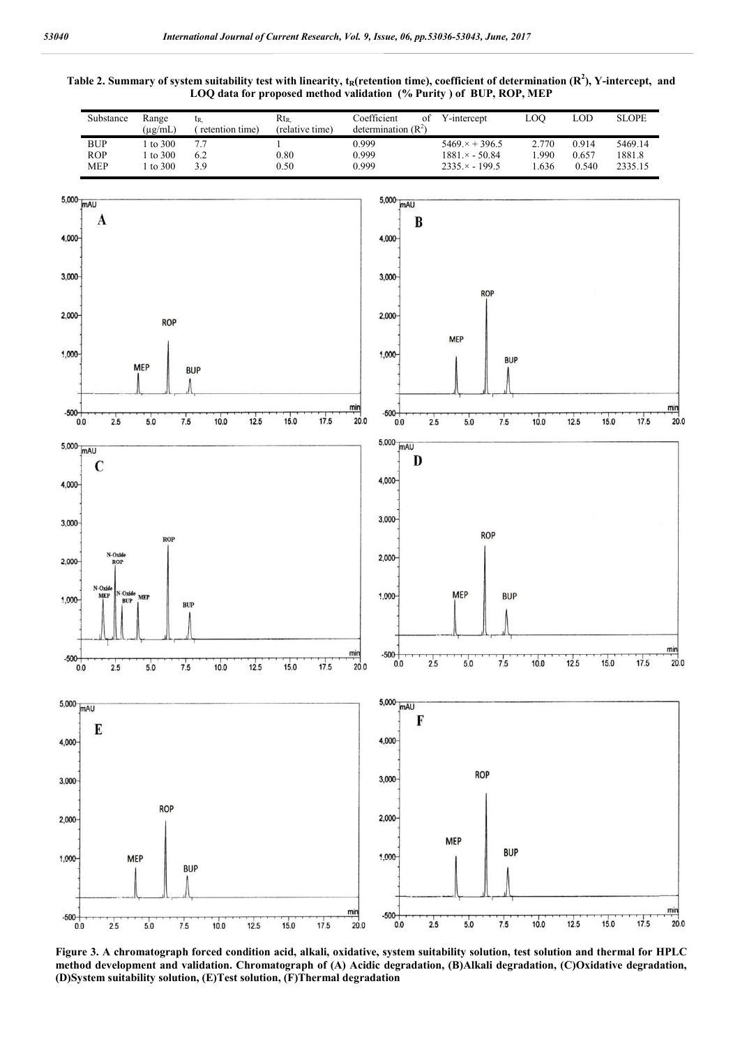



**Figure 3. A chromatograph forced condition acid, alkali, oxidative, system suitability solution, test solution and thermal for HPLC method development and validation. Chromatograph of (A) Acidic degradation, (B)Alkali degradation, (C)Oxidative degradation, (D)System suitability solution, (E)Test solution, (F)Thermal degradation**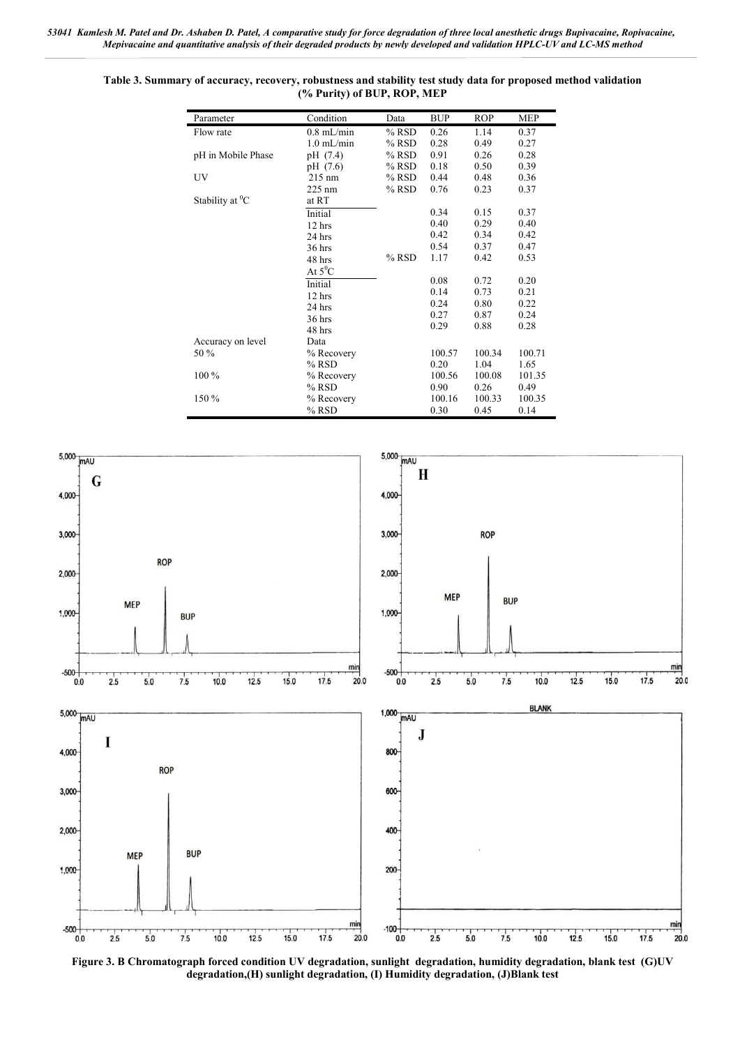| Parameter          | Condition        | Data    | <b>BUP</b> | <b>ROP</b> | <b>MEP</b> |
|--------------------|------------------|---------|------------|------------|------------|
| Flow rate          | $0.8$ mL/min     | $%$ RSD | 0.26       | 1.14       | 0.37       |
|                    | $1.0$ mL/min     | $%$ RSD | 0.28       | 0.49       | 0.27       |
| pH in Mobile Phase | pH (7.4)         | $%$ RSD | 0.91       | 0.26       | 0.28       |
|                    | pH (7.6)         | $%$ RSD | 0.18       | 0.50       | 0.39       |
| UV                 | $215 \text{ nm}$ | $%$ RSD | 0.44       | 0.48       | 0.36       |
|                    | $225 \text{ nm}$ | $%$ RSD | 0.76       | 0.23       | 0.37       |
| Stability at $^0C$ | at RT            |         |            |            |            |
|                    | Initial          |         | 0.34       | 0.15       | 0.37       |
|                    | 12 hrs           |         | 0.40       | 0.29       | 0.40       |
|                    | 24 hrs           |         | 0.42       | 0.34       | 0.42       |
|                    | 36 hrs           |         | 0.54       | 0.37       | 0.47       |
|                    | 48 hrs           | $%$ RSD | 1.17       | 0.42       | 0.53       |
|                    | At $5^0C$        |         |            |            |            |
|                    | Initial          |         | 0.08       | 0.72       | 0.20       |
|                    | $12$ hrs         |         | 0.14       | 0.73       | 0.21       |
|                    | 24 hrs           |         | 0.24       | 0.80       | 0.22       |
|                    | $36$ hrs         |         | 0.27       | 0.87       | 0.24       |
|                    | 48 hrs           |         | 0.29       | 0.88       | 0.28       |
| Accuracy on level  | Data             |         |            |            |            |
| 50 %               | % Recovery       |         | 100.57     | 100.34     | 100.71     |
|                    | $%$ RSD          |         | 0.20       | 1.04       | 1.65       |
| 100 %              | % Recovery       |         | 100.56     | 100.08     | 101.35     |
|                    | $%$ RSD          |         | 0.90       | 0.26       | 0.49       |
| 150 %              | % Recovery       |         | 100.16     | 100.33     | 100.35     |
|                    | % RSD            |         | 0.30       | 0.45       | 0.14       |





**Figure 3. B Chromatograph forced condition UV degradation, sunlight degradation, humidity degradation, blank test (G)UV degradation,(H) sunlight degradation, (I) Humidity degradation, (J)Blank test**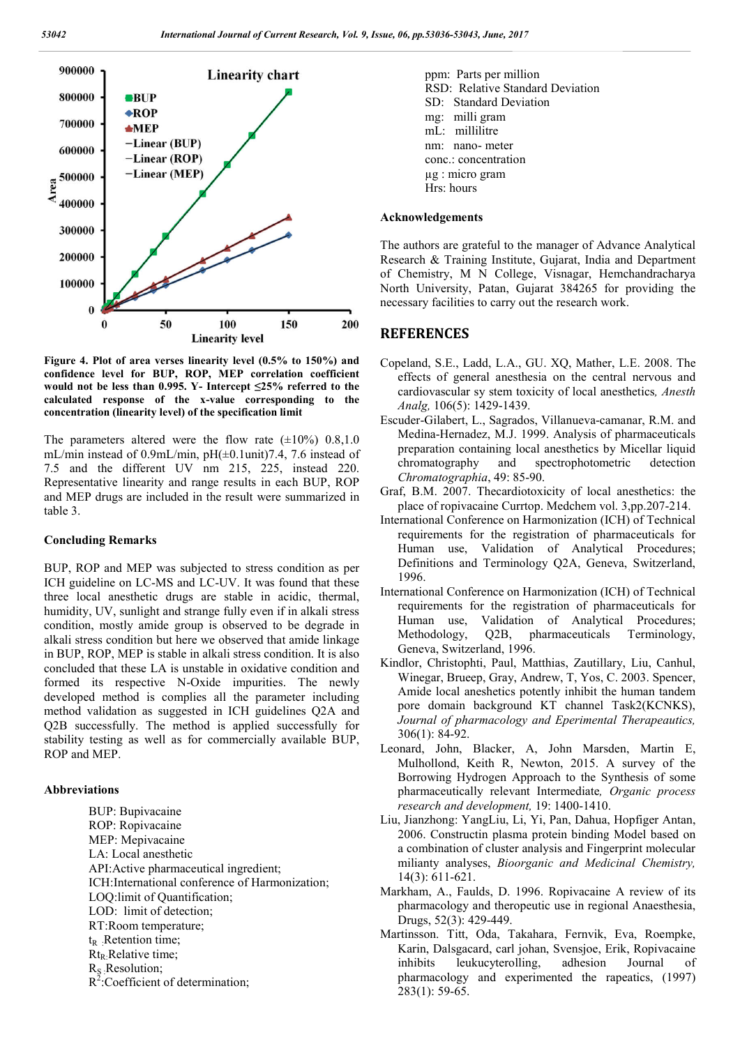

**Figure 4. Plot of area verses linearity level (0.5% to 150%) and confidence level for BUP, ROP, MEP correlation coefficient would not be less than 0.995. Y- Intercept ≤25% referred to the calculated response of the x-value corresponding to the concentration (linearity level) of the specification limit**

The parameters altered were the flow rate  $(\pm 10\%)$  0.8,1.0 mL/min instead of 0.9mL/min, pH(±0.1unit)7.4, 7.6 instead of 7.5 and the different UV nm 215, 225, instead 220. Representative linearity and range results in each BUP, ROP and MEP drugs are included in the result were summarized in table 3.

#### **Concluding Remarks**

BUP, ROP and MEP was subjected to stress condition as per ICH guideline on LC-MS and LC-UV. It was found that these three local anesthetic drugs are stable in acidic, thermal, humidity, UV, sunlight and strange fully even if in alkali stress condition, mostly amide group is observed to be degrade in alkali stress condition but here we observed that amide linkage in BUP, ROP, MEP is stable in alkali stress condition. It is also concluded that these LA is unstable in oxidative condition and formed its respective N-Oxide impurities. The newly developed method is complies all the parameter including method validation as suggested in ICH guidelines Q2A and Q2B successfully. The method is applied successfully for stability testing as well as for commercially available BUP, ROP and MEP.

#### **Abbreviations**

BUP: Bupivacaine ROP: Ropivacaine MEP: Mepivacaine LA: Local anesthetic API:Active pharmaceutical ingredient; ICH:International conference of Harmonization; LOQ:limit of Quantification; LOD: limit of detection; RT:Room temperature;  $t_R$  : Retention time;  $Rt_R$ : Relative time; RS :Resolution;  $R^2$ :Coefficient of determination;

ppm: Parts per million RSD: Relative Standard Deviation SD: Standard Deviation mg: milli gram mL: millilitre nm: nano- meter conc.: concentration µg : micro gram Hrs: hours

#### **Acknowledgements**

The authors are grateful to the manager of Advance Analytical Research & Training Institute, Gujarat, India and Department of Chemistry, M N College, Visnagar, Hemchandracharya North University, Patan, Gujarat 384265 for providing the necessary facilities to carry out the research work.

#### **REFERENCES**

- Copeland, S.E., Ladd, L.A., GU. XQ, Mather, L.E. 2008. The effects of general anesthesia on the central nervous and cardiovascular sy stem toxicity of local anesthetics*, Anesth Analg,* 106(5): 1429-1439.
- Escuder-Gilabert, L., Sagrados, Villanueva-camanar, R.M. and Medina-Hernadez, M.J. 1999. Analysis of pharmaceuticals preparation containing local anesthetics by Micellar liquid chromatography and spectrophotometric detection *Chromatographia*, 49: 85-90.
- Graf, B.M. 2007. Thecardiotoxicity of local anesthetics: the place of ropivacaine Currtop. Medchem vol. 3,pp.207-214.
- International Conference on Harmonization (ICH) of Technical requirements for the registration of pharmaceuticals for Human use, Validation of Analytical Procedures; Definitions and Terminology Q2A, Geneva, Switzerland, 1996.
- International Conference on Harmonization (ICH) of Technical requirements for the registration of pharmaceuticals for Human use, Validation of Analytical Procedures; Methodology, O<sub>2</sub>B, pharmaceuticals Terminology, Geneva, Switzerland, 1996.
- Kindlor, Christophti, Paul, Matthias, Zautillary, Liu, Canhul, Winegar, Brueep, Gray, Andrew, T, Yos, C. 2003. Spencer, Amide local aneshetics potently inhibit the human tandem pore domain background KT channel Task2(KCNKS), *Journal of pharmacology and Eperimental Therapeautics,*  306(1): 84-92.
- Leonard, John, Blacker, A, John Marsden, Martin E, Mulhollond, Keith R, Newton, 2015. A survey of the Borrowing Hydrogen Approach to the Synthesis of some pharmaceutically relevant Intermediate*, Organic process research and development,* 19: 1400-1410.
- Liu, Jianzhong: YangLiu, Li, Yi, Pan, Dahua, Hopfiger Antan, 2006. Constructin plasma protein binding Model based on a combination of cluster analysis and Fingerprint molecular milianty analyses, *Bioorganic and Medicinal Chemistry,* 14(3): 611-621.
- Markham, A., Faulds, D. 1996. Ropivacaine A review of its pharmacology and theropeutic use in regional Anaesthesia, Drugs, 52(3): 429-449.
- Martinsson. Titt, Oda, Takahara, Fernvik, Eva, Roempke, Karin, Dalsgacard, carl johan, Svensjoe, Erik, Ropivacaine inhibits leukucyterolling, adhesion Journal of pharmacology and experimented the rapeatics, (1997) 283(1): 59-65.